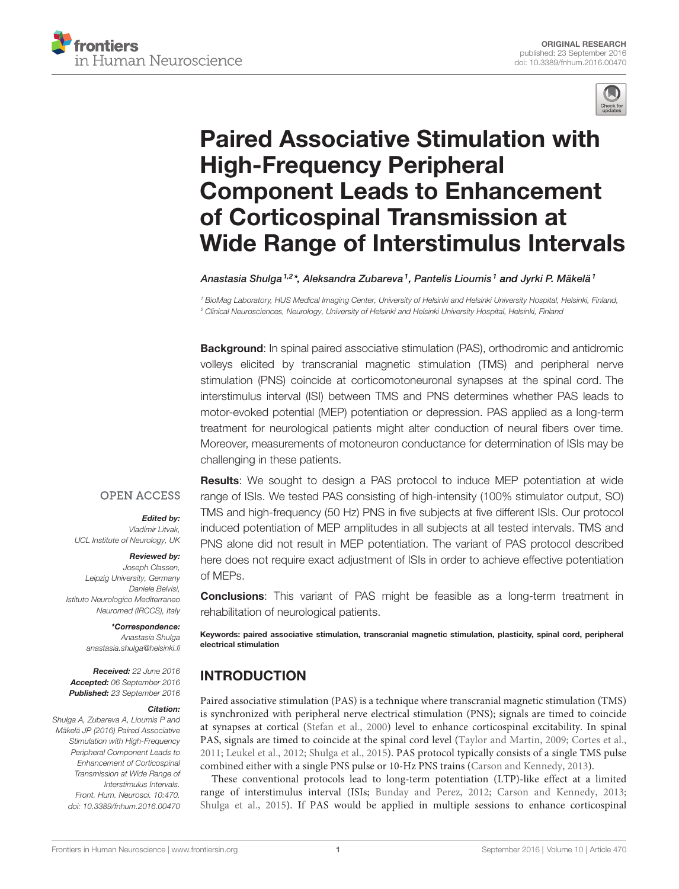



# [Paired Associative Stimulation with](http://journal.frontiersin.org/article/10.3389/fnhum.2016.00470/abstract) [High-Frequency Peripheral](http://journal.frontiersin.org/article/10.3389/fnhum.2016.00470/abstract) [Component Leads to Enhancement](http://journal.frontiersin.org/article/10.3389/fnhum.2016.00470/abstract) [of Corticospinal Transmission at](http://journal.frontiersin.org/article/10.3389/fnhum.2016.00470/abstract) [Wide Range of Interstimulus Intervals](http://journal.frontiersin.org/article/10.3389/fnhum.2016.00470/abstract)

[Anastasia Shulga](http://loop.frontiersin.org/people/357196/overview) <sup>1,2</sup>\*, Aleksandra Zubareva <sup>1</sup>, [Pantelis Lioumis](http://loop.frontiersin.org/people/166899/overview) <sup>1</sup> and [Jyrki P. Mäkelä](http://loop.frontiersin.org/people/36786/overview) <sup>1</sup>

<sup>1</sup> BioMag Laboratory, HUS Medical Imaging Center, University of Helsinki and Helsinki University Hospital, Helsinki, Finland, <sup>2</sup> Clinical Neurosciences, Neurology, University of Helsinki and Helsinki University Hospital, Helsinki, Finland

**Background:** In spinal paired associative stimulation (PAS), orthodromic and antidromic volleys elicited by transcranial magnetic stimulation (TMS) and peripheral nerve stimulation (PNS) coincide at corticomotoneuronal synapses at the spinal cord. The interstimulus interval (ISI) between TMS and PNS determines whether PAS leads to motor-evoked potential (MEP) potentiation or depression. PAS applied as a long-term treatment for neurological patients might alter conduction of neural fibers over time. Moreover, measurements of motoneuron conductance for determination of ISIs may be challenging in these patients.

#### **OPEN ACCESS**

#### Edited by:

Vladimir Litvak, UCL Institute of Neurology, UK

#### Reviewed by:

Joseph Classen, Leipzig University, Germany Daniele Belvisi, Istituto Neurologico Mediterraneo Neuromed (IRCCS), Italy

#### \*Correspondence:

Anastasia Shulga [anastasia.shulga@helsinki.fi](mailto:anastasia.shulga@helsinki.fi)

Received: 22 June 2016 Accepted: 06 September 2016 Published: 23 September 2016

#### Citation:

Shulga A, Zubareva A, Lioumis P and Mäkelä JP (2016) Paired Associative Stimulation with High-Frequency Peripheral Component Leads to Enhancement of Corticospinal Transmission at Wide Range of Interstimulus Intervals. Front. Hum. Neurosci. 10:470. [doi: 10.3389/fnhum.2016.00470](http://dx.doi.org/10.3389/fnhum.2016.00470) Results: We sought to design a PAS protocol to induce MEP potentiation at wide range of ISIs. We tested PAS consisting of high-intensity (100% stimulator output, SO) TMS and high-frequency (50 Hz) PNS in five subjects at five different ISIs. Our protocol induced potentiation of MEP amplitudes in all subjects at all tested intervals. TMS and PNS alone did not result in MEP potentiation. The variant of PAS protocol described here does not require exact adjustment of ISIs in order to achieve effective potentiation of MEPs.

**Conclusions:** This variant of PAS might be feasible as a long-term treatment in rehabilitation of neurological patients.

Keywords: paired associative stimulation, transcranial magnetic stimulation, plasticity, spinal cord, peripheral electrical stimulation

# INTRODUCTION

Paired associative stimulation (PAS) is a technique where transcranial magnetic stimulation (TMS) is synchronized with peripheral nerve electrical stimulation (PNS); signals are timed to coincide at synapses at cortical [\(Stefan et al., 2000\)](#page-5-0) level to enhance corticospinal excitability. In spinal PAS, signals are timed to coincide at the spinal cord level [\(Taylor and Martin, 2009;](#page-5-1) [Cortes et al.,](#page-5-2) [2011;](#page-5-2) [Leukel et al., 2012;](#page-5-3) [Shulga et al., 2015\)](#page-5-4). PAS protocol typically consists of a single TMS pulse combined either with a single PNS pulse or 10-Hz PNS trains [\(Carson and Kennedy, 2013\)](#page-5-5).

These conventional protocols lead to long-term potentiation (LTP)-like effect at a limited range of interstimulus interval (ISIs; [Bunday and Perez, 2012;](#page-5-6) [Carson and Kennedy, 2013;](#page-5-5) [Shulga et al., 2015\)](#page-5-4). If PAS would be applied in multiple sessions to enhance corticospinal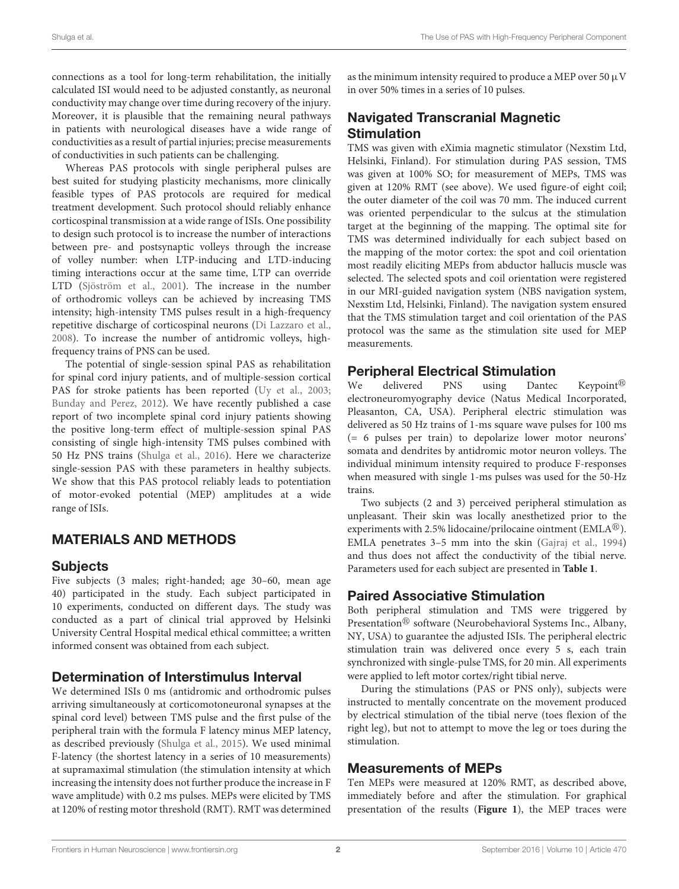connections as a tool for long-term rehabilitation, the initially calculated ISI would need to be adjusted constantly, as neuronal conductivity may change over time during recovery of the injury. Moreover, it is plausible that the remaining neural pathways in patients with neurological diseases have a wide range of conductivities as a result of partial injuries; precise measurements of conductivities in such patients can be challenging.

Whereas PAS protocols with single peripheral pulses are best suited for studying plasticity mechanisms, more clinically feasible types of PAS protocols are required for medical treatment development. Such protocol should reliably enhance corticospinal transmission at a wide range of ISIs. One possibility to design such protocol is to increase the number of interactions between pre- and postsynaptic volleys through the increase of volley number: when LTP-inducing and LTD-inducing timing interactions occur at the same time, LTP can override LTD [\(Sjöström et al.,](#page-5-7) [2001\)](#page-5-7). The increase in the number of orthodromic volleys can be achieved by increasing TMS intensity; high-intensity TMS pulses result in a high-frequency repetitive discharge of corticospinal neurons [\(Di Lazzaro et al.,](#page-5-8) [2008\)](#page-5-8). To increase the number of antidromic volleys, highfrequency trains of PNS can be used.

The potential of single-session spinal PAS as rehabilitation for spinal cord injury patients, and of multiple-session cortical PAS for stroke patients has been reported [\(Uy et al.,](#page-5-9) [2003;](#page-5-9) [Bunday and Perez,](#page-5-6) [2012\)](#page-5-6). We have recently published a case report of two incomplete spinal cord injury patients showing the positive long-term effect of multiple-session spinal PAS consisting of single high-intensity TMS pulses combined with 50 Hz PNS trains [\(Shulga et al.,](#page-5-10) [2016\)](#page-5-10). Here we characterize single-session PAS with these parameters in healthy subjects. We show that this PAS protocol reliably leads to potentiation of motor-evoked potential (MEP) amplitudes at a wide range of ISIs.

# MATERIALS AND METHODS

## Subjects

Five subjects (3 males; right-handed; age 30–60, mean age 40) participated in the study. Each subject participated in 10 experiments, conducted on different days. The study was conducted as a part of clinical trial approved by Helsinki University Central Hospital medical ethical committee; a written informed consent was obtained from each subject.

## Determination of Interstimulus Interval

We determined ISIs 0 ms (antidromic and orthodromic pulses arriving simultaneously at corticomotoneuronal synapses at the spinal cord level) between TMS pulse and the first pulse of the peripheral train with the formula F latency minus MEP latency, as described previously [\(Shulga et al.,](#page-5-4) [2015\)](#page-5-4). We used minimal F-latency (the shortest latency in a series of 10 measurements) at supramaximal stimulation (the stimulation intensity at which increasing the intensity does not further produce the increase in F wave amplitude) with 0.2 ms pulses. MEPs were elicited by TMS at 120% of resting motor threshold (RMT). RMT was determined as the minimum intensity required to produce a MEP over 50  $\mu$ V in over 50% times in a series of 10 pulses.

## Navigated Transcranial Magnetic **Stimulation**

TMS was given with eXimia magnetic stimulator (Nexstim Ltd, Helsinki, Finland). For stimulation during PAS session, TMS was given at 100% SO; for measurement of MEPs, TMS was given at 120% RMT (see above). We used figure-of eight coil; the outer diameter of the coil was 70 mm. The induced current was oriented perpendicular to the sulcus at the stimulation target at the beginning of the mapping. The optimal site for TMS was determined individually for each subject based on the mapping of the motor cortex: the spot and coil orientation most readily eliciting MEPs from abductor hallucis muscle was selected. The selected spots and coil orientation were registered in our MRI-guided navigation system (NBS navigation system, Nexstim Ltd, Helsinki, Finland). The navigation system ensured that the TMS stimulation target and coil orientation of the PAS protocol was the same as the stimulation site used for MEP measurements.

## Peripheral Electrical Stimulation

We delivered PNS using Dantec Keypoint<sup>®</sup> electroneuromyography device (Natus Medical Incorporated, Pleasanton, CA, USA). Peripheral electric stimulation was delivered as 50 Hz trains of 1-ms square wave pulses for 100 ms (= 6 pulses per train) to depolarize lower motor neurons' somata and dendrites by antidromic motor neuron volleys. The individual minimum intensity required to produce F-responses when measured with single 1-ms pulses was used for the 50-Hz trains.

Two subjects (2 and 3) perceived peripheral stimulation as unpleasant. Their skin was locally anesthetized prior to the experiments with 2.5% lidocaine/prilocaine ointment ( $\text{EMLA}^{\textcircled{e}}$ ). EMLA penetrates 3–5 mm into the skin [\(Gajraj et al.,](#page-5-11) [1994\)](#page-5-11) and thus does not affect the conductivity of the tibial nerve. Parameters used for each subject are presented in **[Table 1](#page-2-0)**.

## Paired Associative Stimulation

Both peripheral stimulation and TMS were triggered by Presentation<sup>®</sup> software (Neurobehavioral Systems Inc., Albany, NY, USA) to guarantee the adjusted ISIs. The peripheral electric stimulation train was delivered once every 5 s, each train synchronized with single-pulse TMS, for 20 min. All experiments were applied to left motor cortex/right tibial nerve.

During the stimulations (PAS or PNS only), subjects were instructed to mentally concentrate on the movement produced by electrical stimulation of the tibial nerve (toes flexion of the right leg), but not to attempt to move the leg or toes during the stimulation.

## Measurements of MEPs

Ten MEPs were measured at 120% RMT, as described above, immediately before and after the stimulation. For graphical presentation of the results (**[Figure 1](#page-2-1)**), the MEP traces were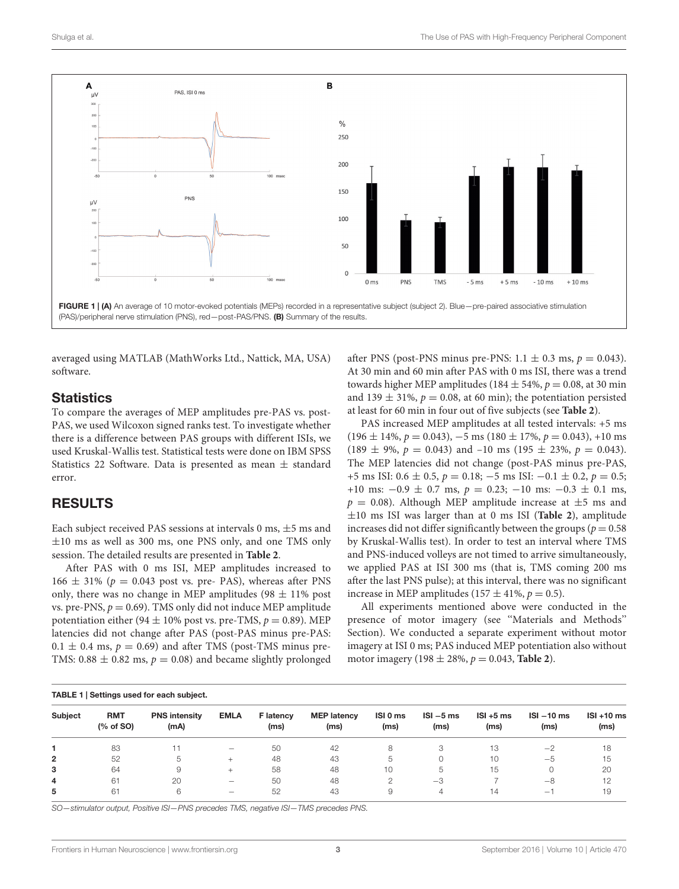

<span id="page-2-1"></span>FIGURE 1 | (A) An average of 10 motor-evoked potentials (MEPs) recorded in a representative subject (subject 2). Blue - pre-paired associative stimulation (PAS)/peripheral nerve stimulation (PNS), red—post-PAS/PNS. (B) Summary of the results.

averaged using MATLAB (MathWorks Ltd., Nattick, MA, USA) software.

#### **Statistics**

To compare the averages of MEP amplitudes pre-PAS vs. post-PAS, we used Wilcoxon signed ranks test. To investigate whether there is a difference between PAS groups with different ISIs, we used Kruskal-Wallis test. Statistical tests were done on IBM SPSS Statistics 22 Software. Data is presented as mean  $\pm$  standard error.

#### RESULTS

Each subject received PAS sessions at intervals  $0 \text{ ms}, \pm 5 \text{ ms}$  and  $\pm 10$  ms as well as 300 ms, one PNS only, and one TMS only session. The detailed results are presented in **[Table 2](#page-3-0)**.

After PAS with 0 ms ISI, MEP amplitudes increased to 166  $\pm$  31% ( $p = 0.043$  post vs. pre- PAS), whereas after PNS only, there was no change in MEP amplitudes (98  $\pm$  11% post vs. pre-PNS,  $p = 0.69$ ). TMS only did not induce MEP amplitude potentiation either (94  $\pm$  10% post vs. pre-TMS,  $p = 0.89$ ). MEP latencies did not change after PAS (post-PAS minus pre-PAS:  $0.1 \pm 0.4$  ms,  $p = 0.69$ ) and after TMS (post-TMS minus pre-TMS:  $0.88 \pm 0.82$  ms,  $p = 0.08$ ) and became slightly prolonged

after PNS (post-PNS minus pre-PNS:  $1.1 \pm 0.3$  ms,  $p = 0.043$ ). At 30 min and 60 min after PAS with 0 ms ISI, there was a trend towards higher MEP amplitudes (184  $\pm$  54%,  $p = 0.08$ , at 30 min and 139  $\pm$  31%,  $p = 0.08$ , at 60 min); the potentiation persisted at least for 60 min in four out of five subjects (see **[Table 2](#page-3-0)**).

PAS increased MEP amplitudes at all tested intervals: +5 ms  $(196 \pm 14\%, p = 0.043), -5$  ms  $(180 \pm 17\%, p = 0.043), +10$  ms  $(189 \pm 9\%, p = 0.043)$  and  $-10$  ms  $(195 \pm 23\%, p = 0.043)$ . The MEP latencies did not change (post-PAS minus pre-PAS, +5 ms ISI:  $0.6 \pm 0.5$ ,  $p = 0.18$ ; -5 ms ISI:  $-0.1 \pm 0.2$ ,  $p = 0.5$ ; +10 ms:  $-0.9 \pm 0.7$  ms,  $p = 0.23$ ;  $-10$  ms:  $-0.3 \pm 0.1$  ms,  $p = 0.08$ ). Although MEP amplitude increase at  $\pm 5$  ms and ±10 ms ISI was larger than at 0 ms ISI (**[Table 2](#page-3-0)**), amplitude increases did not differ significantly between the groups ( $p = 0.58$ ) by Kruskal-Wallis test). In order to test an interval where TMS and PNS-induced volleys are not timed to arrive simultaneously, we applied PAS at ISI 300 ms (that is, TMS coming 200 ms after the last PNS pulse); at this interval, there was no significant increase in MEP amplitudes (157  $\pm$  41%,  $p = 0.5$ ).

All experiments mentioned above were conducted in the presence of motor imagery (see ''Materials and Methods'' Section). We conducted a separate experiment without motor imagery at ISI 0 ms; PAS induced MEP potentiation also without motor imagery (198  $\pm$  28%,  $p = 0.043$ , **[Table 2](#page-3-0)**).

<span id="page-2-0"></span>

| TABLE 1   Settings used for each subject. |                         |                              |                                 |                          |                            |                  |                     |                     |                                 |                       |
|-------------------------------------------|-------------------------|------------------------------|---------------------------------|--------------------------|----------------------------|------------------|---------------------|---------------------|---------------------------------|-----------------------|
| <b>Subject</b>                            | <b>RMT</b><br>(% of SO) | <b>PNS intensity</b><br>(mA) | <b>EMLA</b>                     | <b>F</b> latency<br>(ms) | <b>MEP latency</b><br>(ms) | ISI 0 ms<br>(ms) | $ISI - 5ms$<br>(ms) | $ISI + 5ms$<br>(ms) | $ISI - 10$ ms<br>(ms)           | $ISI + 10$ ms<br>(ms) |
|                                           | 83                      |                              |                                 | 50                       | 42                         | 8                |                     | 13                  | $-2$                            | 18                    |
| $\mathbf{2}$                              | 52                      | 5                            | $^{+}$                          | 48                       | 43                         | b                |                     | 10                  | $-5$                            | 15                    |
| з                                         | 64                      | 9                            |                                 | 58                       | 48                         | 10               | -5                  | 15                  |                                 | 20                    |
| 4                                         | 61                      | 20                           |                                 | 50                       | 48                         | 2                | $-3$                |                     | $-8$                            | 12                    |
| 5                                         | 61                      | 6                            | $\hspace{0.1in} \hspace{0.1in}$ | 52                       | 43                         |                  | 4                   | 14                  | $\hspace{0.1mm}-\hspace{0.1mm}$ | 19                    |

SO—stimulator output, Positive ISI—PNS precedes TMS, negative ISI—TMS precedes PNS.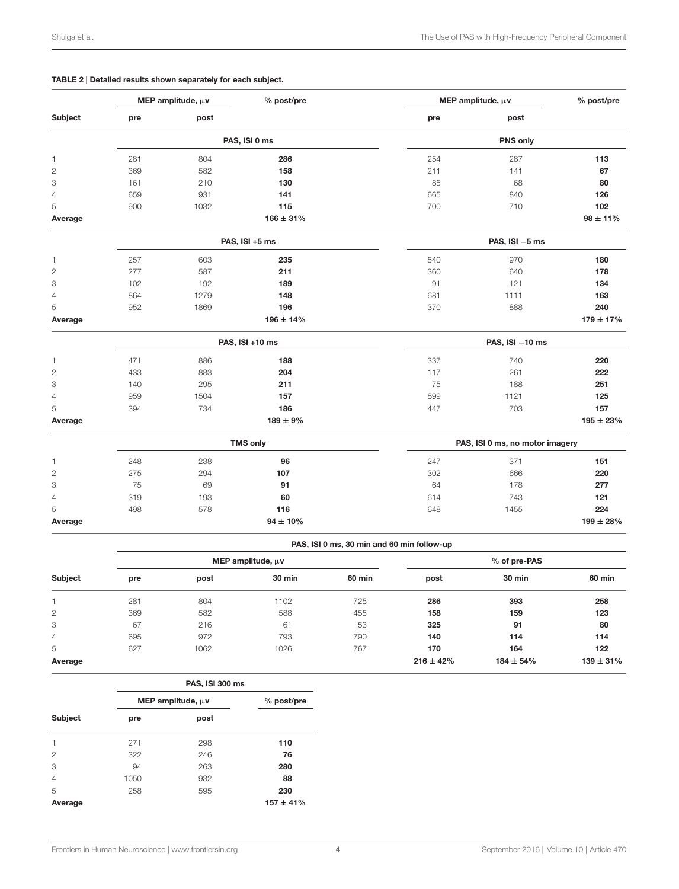#### <span id="page-3-0"></span>TABLE 2 | Detailed results shown separately for each subject.

| Subject<br>pre<br>281<br>1<br>2<br>369<br>3<br>161<br>659 | post<br>804<br>582<br>210<br>931 | PAS, ISI 0 ms<br>286<br>158<br>130 | pre<br>254<br>211 | post<br>PNS only<br>287         |                |  |  |
|-----------------------------------------------------------|----------------------------------|------------------------------------|-------------------|---------------------------------|----------------|--|--|
|                                                           |                                  |                                    |                   |                                 |                |  |  |
|                                                           |                                  |                                    |                   |                                 |                |  |  |
|                                                           |                                  |                                    |                   |                                 | 113            |  |  |
|                                                           |                                  |                                    |                   | 141                             | 67             |  |  |
|                                                           |                                  |                                    | 85                | 68                              | 80             |  |  |
| 4                                                         |                                  | 141                                | 665               | 840                             | 126            |  |  |
| 5<br>900                                                  | 1032                             | 115                                | 700               | 710                             | 102            |  |  |
| Average                                                   |                                  | $166 \pm 31\%$                     |                   |                                 | $98 \pm 11\%$  |  |  |
|                                                           |                                  | PAS, ISI +5 ms                     |                   | PAS, $ISI - 5$ ms               |                |  |  |
| 257<br>1                                                  | 603                              | 235                                | 540               | 970                             | 180            |  |  |
| $\overline{c}$<br>277                                     | 587                              | 211                                | 360               | 640                             | 178            |  |  |
| 3<br>102                                                  | 192                              | 189                                | 91                | 121                             | 134            |  |  |
| 864<br>4                                                  | 1279                             | 148                                | 681               | 1111                            | 163            |  |  |
| 5<br>952                                                  | 1869                             | 196                                | 370               | 888                             | 240            |  |  |
| Average                                                   |                                  | $196 \pm 14\%$                     |                   |                                 | $179 \pm 17\%$ |  |  |
|                                                           |                                  | PAS, ISI +10 ms                    |                   | PAS, $ISI - 10$ ms              |                |  |  |
| 471<br>1                                                  | 886                              | 188                                | 337               | 740                             | 220            |  |  |
| $\overline{c}$<br>433                                     | 883                              | 204                                | 117               | 261                             | 222            |  |  |
| 3<br>140                                                  | 295                              | 211                                | 75                | 188                             | 251            |  |  |
| $\overline{4}$<br>959                                     | 1504                             | 157                                | 899               | 1121                            | 125            |  |  |
| 5<br>394                                                  | 734                              | 186                                | 447               | 703                             | 157            |  |  |
| Average                                                   |                                  | $189 \pm 9\%$                      |                   |                                 | $195 \pm 23\%$ |  |  |
|                                                           |                                  | <b>TMS only</b>                    |                   | PAS, ISI 0 ms, no motor imagery |                |  |  |
| 248<br>1                                                  | 238                              | 96                                 | 247               | 371                             | 151            |  |  |
| 2<br>275                                                  | 294                              | 107                                | 302               | 666                             | 220            |  |  |
| 75<br>3                                                   | 69                               | 91                                 | 64                | 178                             | 277            |  |  |
| 319<br>$\overline{4}$                                     | 193                              | 60                                 | 614               | 743                             | 121            |  |  |
| 5<br>498                                                  | 578                              | 116                                | 648               | 1455                            | 224            |  |  |
| Average                                                   |                                  | $94 \pm 10\%$                      |                   |                                 | $199 \pm 28%$  |  |  |

|  | PAS, ISI 0 ms, 30 min and 60 min follow-up |  |
|--|--------------------------------------------|--|

|                | MEP amplitude, $\mu$ v |      |        |        | % of pre-PAS   |                |                |
|----------------|------------------------|------|--------|--------|----------------|----------------|----------------|
| Subject        | pre                    | post | 30 min | 60 min | post           | 30 min         | 60 min         |
|                | 281                    | 804  | 1102   | 725    | 286            | 393            | 258            |
| 2              | 369                    | 582  | 588    | 455    | 158            | 159            | 123            |
| 3              | 67                     | 216  | 61     | 53     | 325            | 91             | 80             |
| $\overline{4}$ | 695                    | 972  | 793    | 790    | 140            | 114            | 114            |
| 5              | 627                    | 1062 | 1026   | 767    | 170            | 164            | 122            |
| Average        |                        |      |        |        | $216 \pm 42\%$ | $184 \pm 54\%$ | $139 \pm 31\%$ |

|                | <b>PAS, ISI 300 ms</b> |            |             |  |  |  |
|----------------|------------------------|------------|-------------|--|--|--|
|                | MEP amplitude, $\mu$ v | % post/pre |             |  |  |  |
| Subject        | pre                    | post       |             |  |  |  |
| 1              | 271                    | 298        | 110         |  |  |  |
| 2              | 322                    | 246        | 76          |  |  |  |
| 3              | 94                     | 263        | 280         |  |  |  |
| $\overline{4}$ | 1050                   | 932        | 88          |  |  |  |
| 5              | 258                    | 595        | 230         |  |  |  |
| Average        |                        |            | $157 + 41%$ |  |  |  |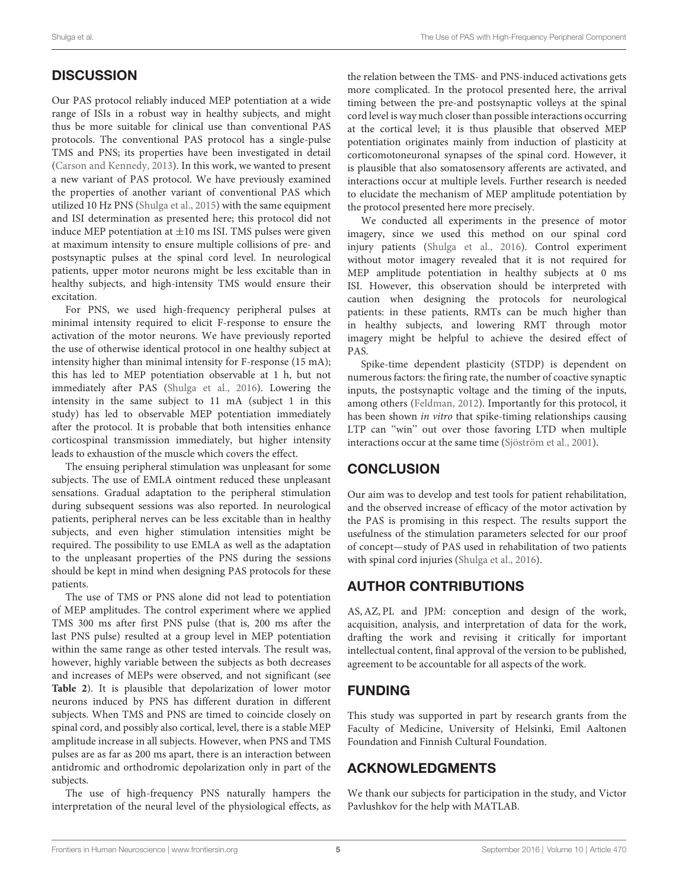# **DISCUSSION**

Our PAS protocol reliably induced MEP potentiation at a wide range of ISIs in a robust way in healthy subjects, and might thus be more suitable for clinical use than conventional PAS protocols. The conventional PAS protocol has a single-pulse TMS and PNS; its properties have been investigated in detail [\(Carson and Kennedy,](#page-5-5) [2013\)](#page-5-5). In this work, we wanted to present a new variant of PAS protocol. We have previously examined the properties of another variant of conventional PAS which utilized 10 Hz PNS [\(Shulga et al.,](#page-5-4) [2015\)](#page-5-4) with the same equipment and ISI determination as presented here; this protocol did not induce MEP potentiation at  $\pm 10$  ms ISI. TMS pulses were given at maximum intensity to ensure multiple collisions of pre- and postsynaptic pulses at the spinal cord level. In neurological patients, upper motor neurons might be less excitable than in healthy subjects, and high-intensity TMS would ensure their excitation.

For PNS, we used high-frequency peripheral pulses at minimal intensity required to elicit F-response to ensure the activation of the motor neurons. We have previously reported the use of otherwise identical protocol in one healthy subject at intensity higher than minimal intensity for F-response (15 mA); this has led to MEP potentiation observable at 1 h, but not immediately after PAS [\(Shulga et al.,](#page-5-10) [2016\)](#page-5-10). Lowering the intensity in the same subject to 11 mA (subject 1 in this study) has led to observable MEP potentiation immediately after the protocol. It is probable that both intensities enhance corticospinal transmission immediately, but higher intensity leads to exhaustion of the muscle which covers the effect.

The ensuing peripheral stimulation was unpleasant for some subjects. The use of EMLA ointment reduced these unpleasant sensations. Gradual adaptation to the peripheral stimulation during subsequent sessions was also reported. In neurological patients, peripheral nerves can be less excitable than in healthy subjects, and even higher stimulation intensities might be required. The possibility to use EMLA as well as the adaptation to the unpleasant properties of the PNS during the sessions should be kept in mind when designing PAS protocols for these patients.

The use of TMS or PNS alone did not lead to potentiation of MEP amplitudes. The control experiment where we applied TMS 300 ms after first PNS pulse (that is, 200 ms after the last PNS pulse) resulted at a group level in MEP potentiation within the same range as other tested intervals. The result was, however, highly variable between the subjects as both decreases and increases of MEPs were observed, and not significant (see **[Table 2](#page-3-0)**). It is plausible that depolarization of lower motor neurons induced by PNS has different duration in different subjects. When TMS and PNS are timed to coincide closely on spinal cord, and possibly also cortical, level, there is a stable MEP amplitude increase in all subjects. However, when PNS and TMS pulses are as far as 200 ms apart, there is an interaction between antidromic and orthodromic depolarization only in part of the subjects.

The use of high-frequency PNS naturally hampers the interpretation of the neural level of the physiological effects, as the relation between the TMS- and PNS-induced activations gets more complicated. In the protocol presented here, the arrival timing between the pre-and postsynaptic volleys at the spinal cord level is way much closer than possible interactions occurring at the cortical level; it is thus plausible that observed MEP potentiation originates mainly from induction of plasticity at corticomotoneuronal synapses of the spinal cord. However, it is plausible that also somatosensory afferents are activated, and interactions occur at multiple levels. Further research is needed to elucidate the mechanism of MEP amplitude potentiation by the protocol presented here more precisely.

We conducted all experiments in the presence of motor imagery, since we used this method on our spinal cord injury patients [\(Shulga et al.,](#page-5-10) [2016\)](#page-5-10). Control experiment without motor imagery revealed that it is not required for MEP amplitude potentiation in healthy subjects at 0 ms ISI. However, this observation should be interpreted with caution when designing the protocols for neurological patients: in these patients, RMTs can be much higher than in healthy subjects, and lowering RMT through motor imagery might be helpful to achieve the desired effect of PAS.

Spike-time dependent plasticity (STDP) is dependent on numerous factors: the firing rate, the number of coactive synaptic inputs, the postsynaptic voltage and the timing of the inputs, among others [\(Feldman,](#page-5-12) [2012\)](#page-5-12). Importantly for this protocol, it has been shown in vitro that spike-timing relationships causing LTP can ''win'' out over those favoring LTD when multiple interactions occur at the same time [\(Sjöström et al.,](#page-5-7) [2001\)](#page-5-7).

# **CONCLUSION**

Our aim was to develop and test tools for patient rehabilitation, and the observed increase of efficacy of the motor activation by the PAS is promising in this respect. The results support the usefulness of the stimulation parameters selected for our proof of concept—study of PAS used in rehabilitation of two patients with spinal cord injuries [\(Shulga et al.,](#page-5-10) [2016\)](#page-5-10).

# AUTHOR CONTRIBUTIONS

AS, AZ, PL and JPM: conception and design of the work, acquisition, analysis, and interpretation of data for the work, drafting the work and revising it critically for important intellectual content, final approval of the version to be published, agreement to be accountable for all aspects of the work.

# FUNDING

This study was supported in part by research grants from the Faculty of Medicine, University of Helsinki, Emil Aaltonen Foundation and Finnish Cultural Foundation.

# ACKNOWLEDGMENTS

We thank our subjects for participation in the study, and Victor Pavlushkov for the help with MATLAB.